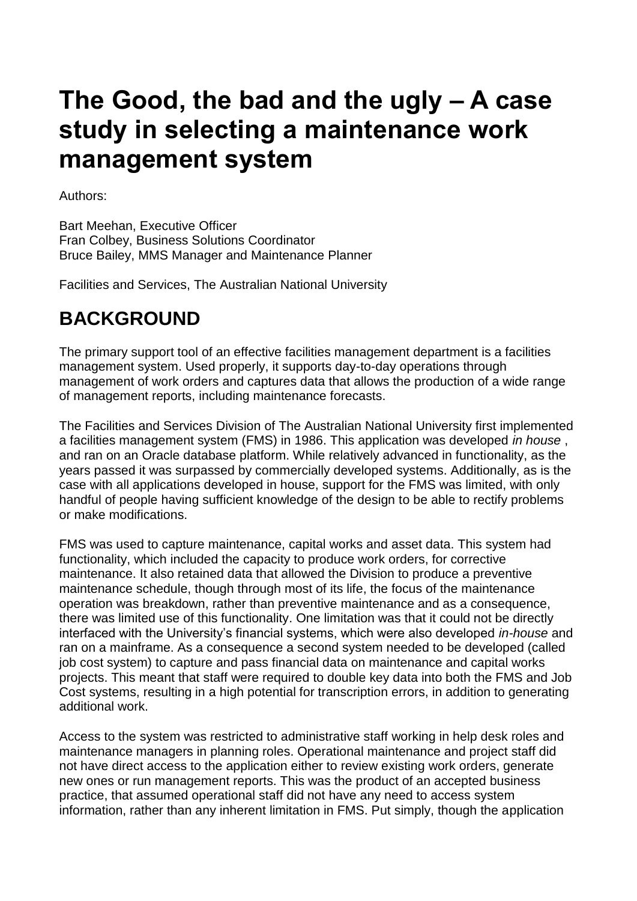# **The Good, the bad and the ugly – A case study in selecting a maintenance work management system**

Authors:

Bart Meehan, Executive Officer Fran Colbey, Business Solutions Coordinator Bruce Bailey, MMS Manager and Maintenance Planner

Facilities and Services, The Australian National University

### **BACKGROUND**

The primary support tool of an effective facilities management department is a facilities management system. Used properly, it supports day-to-day operations through management of work orders and captures data that allows the production of a wide range of management reports, including maintenance forecasts.

The Facilities and Services Division of The Australian National University first implemented a facilities management system (FMS) in 1986. This application was developed *in house* , and ran on an Oracle database platform. While relatively advanced in functionality, as the years passed it was surpassed by commercially developed systems. Additionally, as is the case with all applications developed in house, support for the FMS was limited, with only handful of people having sufficient knowledge of the design to be able to rectify problems or make modifications.

FMS was used to capture maintenance, capital works and asset data. This system had functionality, which included the capacity to produce work orders, for corrective maintenance. It also retained data that allowed the Division to produce a preventive maintenance schedule, though through most of its life, the focus of the maintenance operation was breakdown, rather than preventive maintenance and as a consequence, there was limited use of this functionality. One limitation was that it could not be directly interfaced with the University's financial systems, which were also developed *in-house* and ran on a mainframe. As a consequence a second system needed to be developed (called job cost system) to capture and pass financial data on maintenance and capital works projects. This meant that staff were required to double key data into both the FMS and Job Cost systems, resulting in a high potential for transcription errors, in addition to generating additional work.

Access to the system was restricted to administrative staff working in help desk roles and maintenance managers in planning roles. Operational maintenance and project staff did not have direct access to the application either to review existing work orders, generate new ones or run management reports. This was the product of an accepted business practice, that assumed operational staff did not have any need to access system information, rather than any inherent limitation in FMS. Put simply, though the application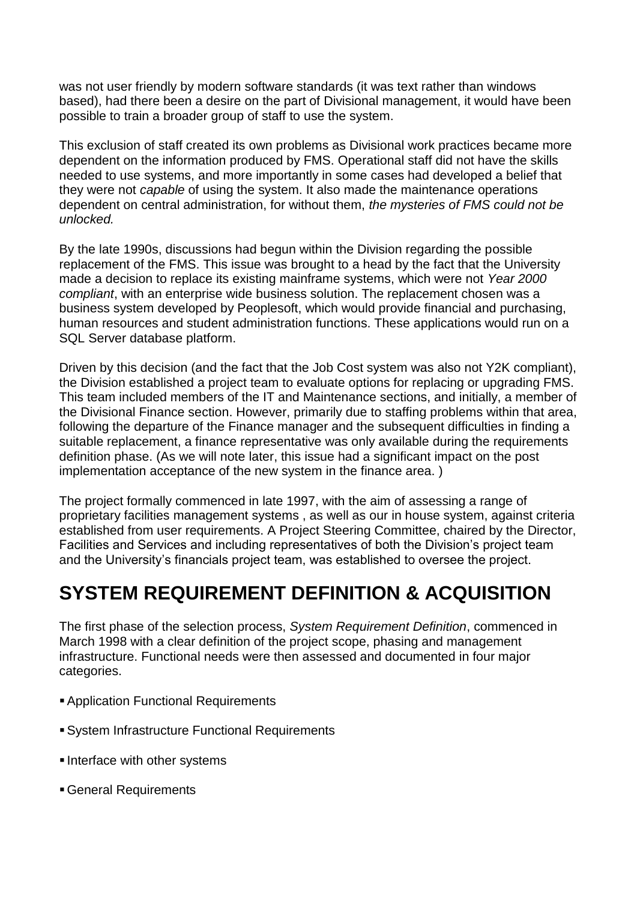was not user friendly by modern software standards (it was text rather than windows based), had there been a desire on the part of Divisional management, it would have been possible to train a broader group of staff to use the system.

This exclusion of staff created its own problems as Divisional work practices became more dependent on the information produced by FMS. Operational staff did not have the skills needed to use systems, and more importantly in some cases had developed a belief that they were not *capable* of using the system. It also made the maintenance operations dependent on central administration, for without them, *the mysteries of FMS could not be unlocked.*

By the late 1990s, discussions had begun within the Division regarding the possible replacement of the FMS. This issue was brought to a head by the fact that the University made a decision to replace its existing mainframe systems, which were not *Year 2000 compliant*, with an enterprise wide business solution. The replacement chosen was a business system developed by Peoplesoft, which would provide financial and purchasing, human resources and student administration functions. These applications would run on a SQL Server database platform.

Driven by this decision (and the fact that the Job Cost system was also not Y2K compliant), the Division established a project team to evaluate options for replacing or upgrading FMS. This team included members of the IT and Maintenance sections, and initially, a member of the Divisional Finance section. However, primarily due to staffing problems within that area, following the departure of the Finance manager and the subsequent difficulties in finding a suitable replacement, a finance representative was only available during the requirements definition phase. (As we will note later, this issue had a significant impact on the post implementation acceptance of the new system in the finance area. )

The project formally commenced in late 1997, with the aim of assessing a range of proprietary facilities management systems , as well as our in house system, against criteria established from user requirements. A Project Steering Committee, chaired by the Director, Facilities and Services and including representatives of both the Division's project team and the University's financials project team, was established to oversee the project.

#### **SYSTEM REQUIREMENT DEFINITION & ACQUISITION**

The first phase of the selection process, *System Requirement Definition*, commenced in March 1998 with a clear definition of the project scope, phasing and management infrastructure. Functional needs were then assessed and documented in four major categories.

- Application Functional Requirements
- System Infrastructure Functional Requirements
- **Interface with other systems**
- General Requirements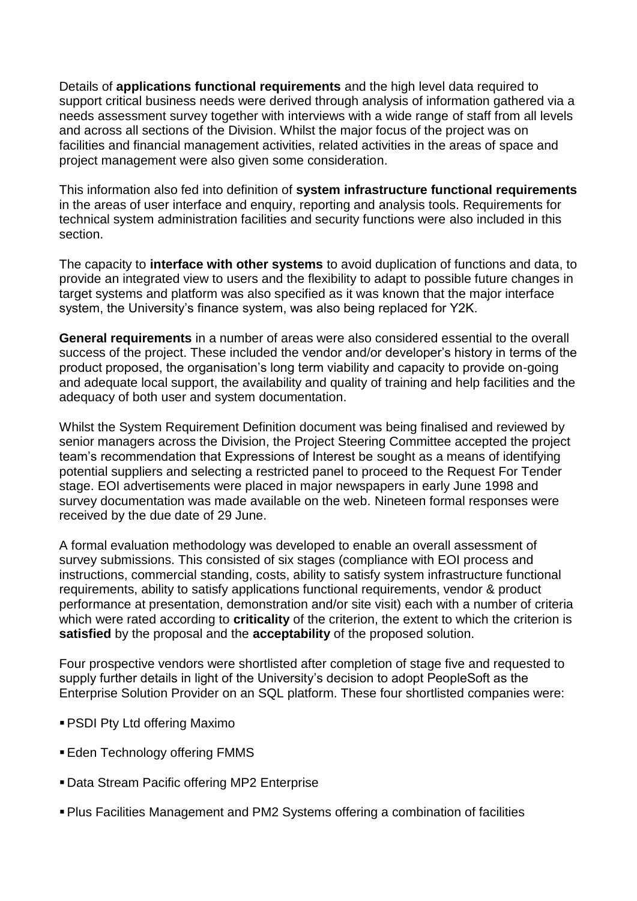Details of **applications functional requirements** and the high level data required to support critical business needs were derived through analysis of information gathered via a needs assessment survey together with interviews with a wide range of staff from all levels and across all sections of the Division. Whilst the major focus of the project was on facilities and financial management activities, related activities in the areas of space and project management were also given some consideration.

This information also fed into definition of **system infrastructure functional requirements** in the areas of user interface and enquiry, reporting and analysis tools. Requirements for technical system administration facilities and security functions were also included in this section.

The capacity to **interface with other systems** to avoid duplication of functions and data, to provide an integrated view to users and the flexibility to adapt to possible future changes in target systems and platform was also specified as it was known that the major interface system, the University's finance system, was also being replaced for Y2K.

**General requirements** in a number of areas were also considered essential to the overall success of the project. These included the vendor and/or developer's history in terms of the product proposed, the organisation's long term viability and capacity to provide on-going and adequate local support, the availability and quality of training and help facilities and the adequacy of both user and system documentation.

Whilst the System Requirement Definition document was being finalised and reviewed by senior managers across the Division, the Project Steering Committee accepted the project team's recommendation that Expressions of Interest be sought as a means of identifying potential suppliers and selecting a restricted panel to proceed to the Request For Tender stage. EOI advertisements were placed in major newspapers in early June 1998 and survey documentation was made available on the web. Nineteen formal responses were received by the due date of 29 June.

A formal evaluation methodology was developed to enable an overall assessment of survey submissions. This consisted of six stages (compliance with EOI process and instructions, commercial standing, costs, ability to satisfy system infrastructure functional requirements, ability to satisfy applications functional requirements, vendor & product performance at presentation, demonstration and/or site visit) each with a number of criteria which were rated according to **criticality** of the criterion, the extent to which the criterion is **satisfied** by the proposal and the **acceptability** of the proposed solution.

Four prospective vendors were shortlisted after completion of stage five and requested to supply further details in light of the University's decision to adopt PeopleSoft as the Enterprise Solution Provider on an SQL platform. These four shortlisted companies were:

- PSDI Pty Ltd offering Maximo
- **Eden Technology offering FMMS**
- Data Stream Pacific offering MP2 Enterprise
- Plus Facilities Management and PM2 Systems offering a combination of facilities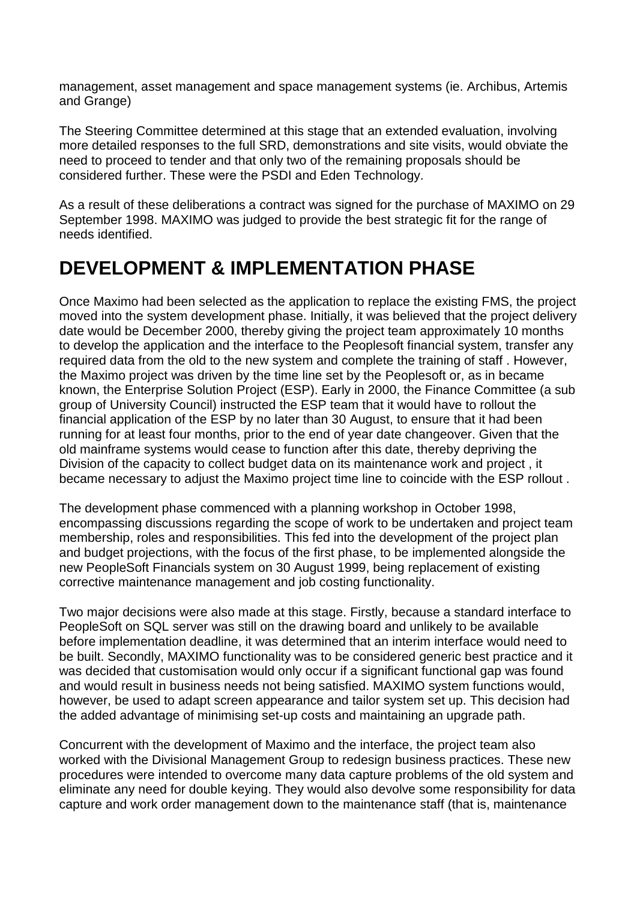management, asset management and space management systems (ie. Archibus, Artemis and Grange)

The Steering Committee determined at this stage that an extended evaluation, involving more detailed responses to the full SRD, demonstrations and site visits, would obviate the need to proceed to tender and that only two of the remaining proposals should be considered further. These were the PSDI and Eden Technology.

As a result of these deliberations a contract was signed for the purchase of MAXIMO on 29 September 1998. MAXIMO was judged to provide the best strategic fit for the range of needs identified.

#### **DEVELOPMENT & IMPLEMENTATION PHASE**

Once Maximo had been selected as the application to replace the existing FMS, the project moved into the system development phase. Initially, it was believed that the project delivery date would be December 2000, thereby giving the project team approximately 10 months to develop the application and the interface to the Peoplesoft financial system, transfer any required data from the old to the new system and complete the training of staff . However, the Maximo project was driven by the time line set by the Peoplesoft or, as in became known, the Enterprise Solution Project (ESP). Early in 2000, the Finance Committee (a sub group of University Council) instructed the ESP team that it would have to rollout the financial application of the ESP by no later than 30 August, to ensure that it had been running for at least four months, prior to the end of year date changeover. Given that the old mainframe systems would cease to function after this date, thereby depriving the Division of the capacity to collect budget data on its maintenance work and project , it became necessary to adjust the Maximo project time line to coincide with the ESP rollout .

The development phase commenced with a planning workshop in October 1998, encompassing discussions regarding the scope of work to be undertaken and project team membership, roles and responsibilities. This fed into the development of the project plan and budget projections, with the focus of the first phase, to be implemented alongside the new PeopleSoft Financials system on 30 August 1999, being replacement of existing corrective maintenance management and job costing functionality.

Two major decisions were also made at this stage. Firstly, because a standard interface to PeopleSoft on SQL server was still on the drawing board and unlikely to be available before implementation deadline, it was determined that an interim interface would need to be built. Secondly, MAXIMO functionality was to be considered generic best practice and it was decided that customisation would only occur if a significant functional gap was found and would result in business needs not being satisfied. MAXIMO system functions would, however, be used to adapt screen appearance and tailor system set up. This decision had the added advantage of minimising set-up costs and maintaining an upgrade path.

Concurrent with the development of Maximo and the interface, the project team also worked with the Divisional Management Group to redesign business practices. These new procedures were intended to overcome many data capture problems of the old system and eliminate any need for double keying. They would also devolve some responsibility for data capture and work order management down to the maintenance staff (that is, maintenance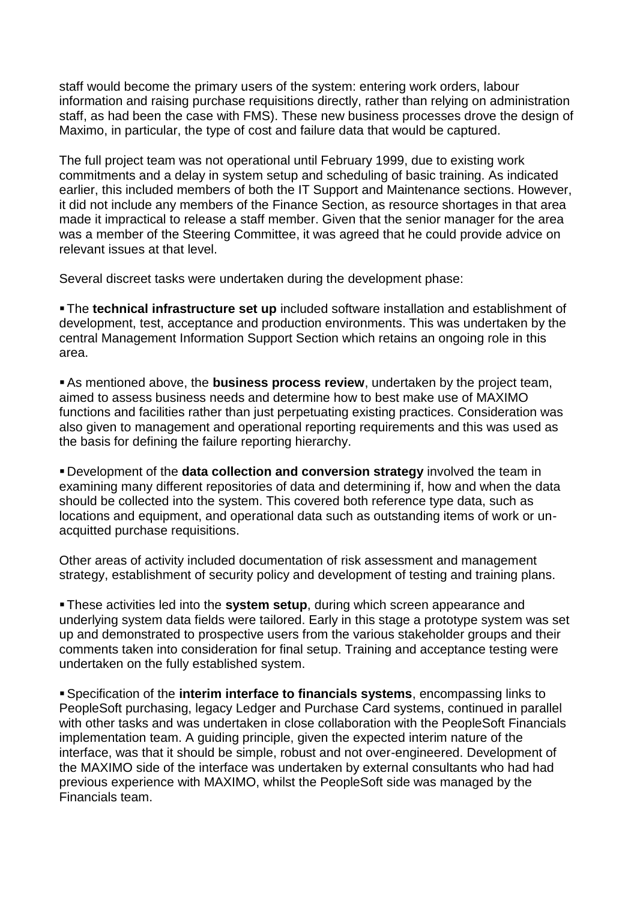staff would become the primary users of the system: entering work orders, labour information and raising purchase requisitions directly, rather than relying on administration staff, as had been the case with FMS). These new business processes drove the design of Maximo, in particular, the type of cost and failure data that would be captured.

The full project team was not operational until February 1999, due to existing work commitments and a delay in system setup and scheduling of basic training. As indicated earlier, this included members of both the IT Support and Maintenance sections. However, it did not include any members of the Finance Section, as resource shortages in that area made it impractical to release a staff member. Given that the senior manager for the area was a member of the Steering Committee, it was agreed that he could provide advice on relevant issues at that level.

Several discreet tasks were undertaken during the development phase:

The **technical infrastructure set up** included software installation and establishment of development, test, acceptance and production environments. This was undertaken by the central Management Information Support Section which retains an ongoing role in this area.

As mentioned above, the **business process review**, undertaken by the project team, aimed to assess business needs and determine how to best make use of MAXIMO functions and facilities rather than just perpetuating existing practices. Consideration was also given to management and operational reporting requirements and this was used as the basis for defining the failure reporting hierarchy.

 Development of the **data collection and conversion strategy** involved the team in examining many different repositories of data and determining if, how and when the data should be collected into the system. This covered both reference type data, such as locations and equipment, and operational data such as outstanding items of work or unacquitted purchase requisitions.

Other areas of activity included documentation of risk assessment and management strategy, establishment of security policy and development of testing and training plans.

These activities led into the **system setup**, during which screen appearance and underlying system data fields were tailored. Early in this stage a prototype system was set up and demonstrated to prospective users from the various stakeholder groups and their comments taken into consideration for final setup. Training and acceptance testing were undertaken on the fully established system.

Specification of the **interim interface to financials systems**, encompassing links to PeopleSoft purchasing, legacy Ledger and Purchase Card systems, continued in parallel with other tasks and was undertaken in close collaboration with the PeopleSoft Financials implementation team. A guiding principle, given the expected interim nature of the interface, was that it should be simple, robust and not over-engineered. Development of the MAXIMO side of the interface was undertaken by external consultants who had had previous experience with MAXIMO, whilst the PeopleSoft side was managed by the Financials team.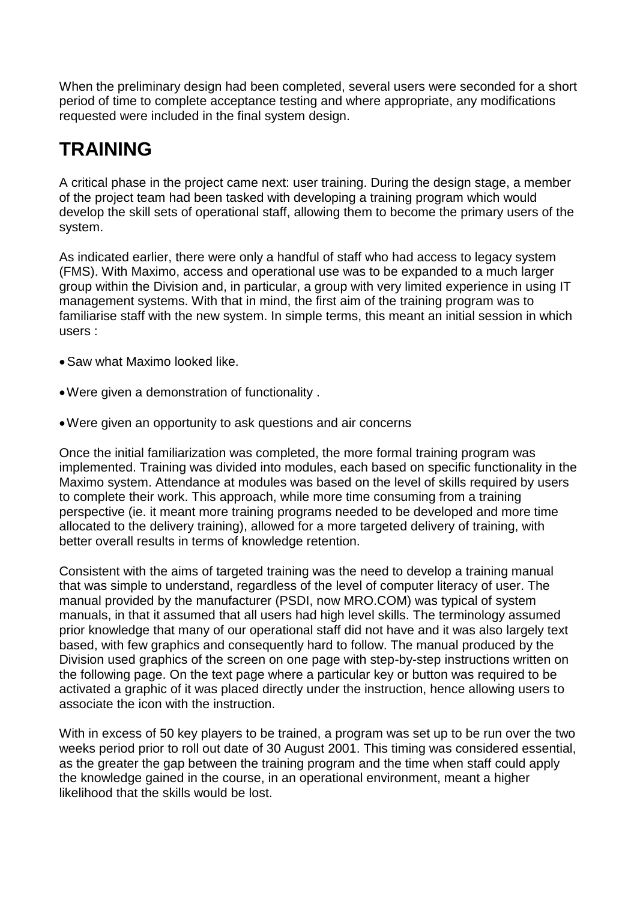When the preliminary design had been completed, several users were seconded for a short period of time to complete acceptance testing and where appropriate, any modifications requested were included in the final system design.

### **TRAINING**

A critical phase in the project came next: user training. During the design stage, a member of the project team had been tasked with developing a training program which would develop the skill sets of operational staff, allowing them to become the primary users of the system.

As indicated earlier, there were only a handful of staff who had access to legacy system (FMS). With Maximo, access and operational use was to be expanded to a much larger group within the Division and, in particular, a group with very limited experience in using IT management systems. With that in mind, the first aim of the training program was to familiarise staff with the new system. In simple terms, this meant an initial session in which users :

- Saw what Maximo looked like.
- Were given a demonstration of functionality .
- Were given an opportunity to ask questions and air concerns

Once the initial familiarization was completed, the more formal training program was implemented. Training was divided into modules, each based on specific functionality in the Maximo system. Attendance at modules was based on the level of skills required by users to complete their work. This approach, while more time consuming from a training perspective (ie. it meant more training programs needed to be developed and more time allocated to the delivery training), allowed for a more targeted delivery of training, with better overall results in terms of knowledge retention.

Consistent with the aims of targeted training was the need to develop a training manual that was simple to understand, regardless of the level of computer literacy of user. The manual provided by the manufacturer (PSDI, now MRO.COM) was typical of system manuals, in that it assumed that all users had high level skills. The terminology assumed prior knowledge that many of our operational staff did not have and it was also largely text based, with few graphics and consequently hard to follow. The manual produced by the Division used graphics of the screen on one page with step-by-step instructions written on the following page. On the text page where a particular key or button was required to be activated a graphic of it was placed directly under the instruction, hence allowing users to associate the icon with the instruction.

With in excess of 50 key players to be trained, a program was set up to be run over the two weeks period prior to roll out date of 30 August 2001. This timing was considered essential, as the greater the gap between the training program and the time when staff could apply the knowledge gained in the course, in an operational environment, meant a higher likelihood that the skills would be lost.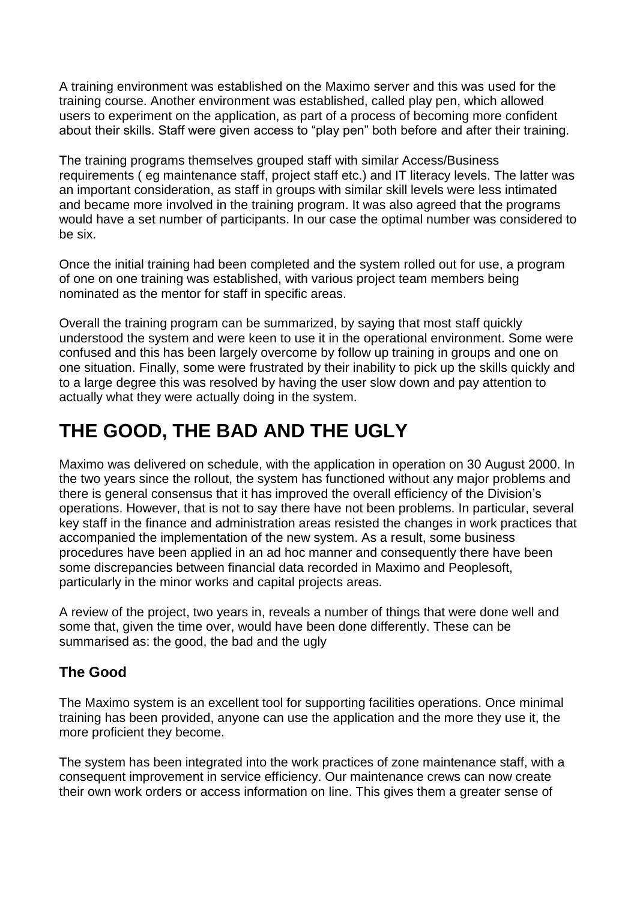A training environment was established on the Maximo server and this was used for the training course. Another environment was established, called play pen, which allowed users to experiment on the application, as part of a process of becoming more confident about their skills. Staff were given access to "play pen" both before and after their training.

The training programs themselves grouped staff with similar Access/Business requirements ( eg maintenance staff, project staff etc.) and IT literacy levels. The latter was an important consideration, as staff in groups with similar skill levels were less intimated and became more involved in the training program. It was also agreed that the programs would have a set number of participants. In our case the optimal number was considered to be six.

Once the initial training had been completed and the system rolled out for use, a program of one on one training was established, with various project team members being nominated as the mentor for staff in specific areas.

Overall the training program can be summarized, by saying that most staff quickly understood the system and were keen to use it in the operational environment. Some were confused and this has been largely overcome by follow up training in groups and one on one situation. Finally, some were frustrated by their inability to pick up the skills quickly and to a large degree this was resolved by having the user slow down and pay attention to actually what they were actually doing in the system.

### **THE GOOD, THE BAD AND THE UGLY**

Maximo was delivered on schedule, with the application in operation on 30 August 2000. In the two years since the rollout, the system has functioned without any major problems and there is general consensus that it has improved the overall efficiency of the Division's operations. However, that is not to say there have not been problems. In particular, several key staff in the finance and administration areas resisted the changes in work practices that accompanied the implementation of the new system. As a result, some business procedures have been applied in an ad hoc manner and consequently there have been some discrepancies between financial data recorded in Maximo and Peoplesoft, particularly in the minor works and capital projects areas.

A review of the project, two years in, reveals a number of things that were done well and some that, given the time over, would have been done differently. These can be summarised as: the good, the bad and the ugly

#### **The Good**

The Maximo system is an excellent tool for supporting facilities operations. Once minimal training has been provided, anyone can use the application and the more they use it, the more proficient they become.

The system has been integrated into the work practices of zone maintenance staff, with a consequent improvement in service efficiency. Our maintenance crews can now create their own work orders or access information on line. This gives them a greater sense of